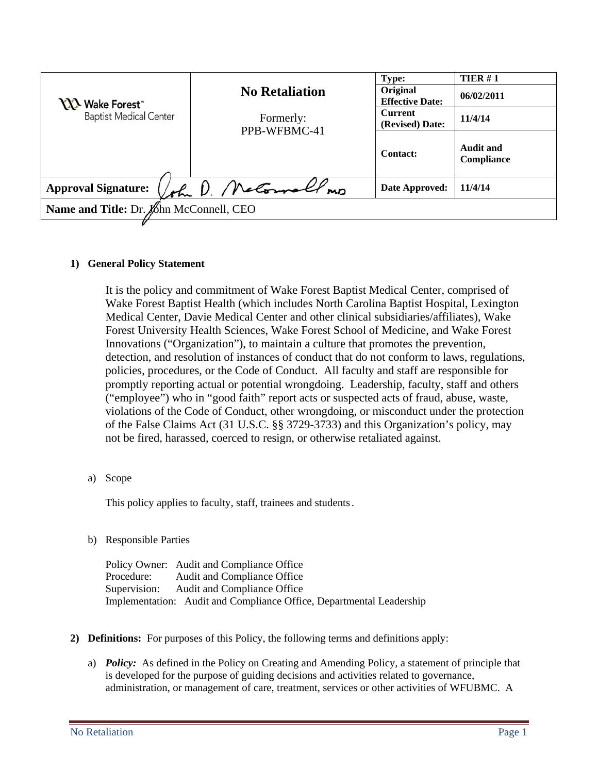| <b>NA</b> Wake Forest <sup>"</sup><br><b>Baptist Medical Center</b> | <b>No Retaliation</b> | <b>Type:</b><br>Original<br><b>Effective Date:</b> | TIER $#1$<br>06/02/2011        |
|---------------------------------------------------------------------|-----------------------|----------------------------------------------------|--------------------------------|
|                                                                     | Formerly:             | <b>Current</b><br>(Revised) Date:                  | 11/4/14                        |
|                                                                     | PPB-WFBMC-41          | <b>Contact:</b>                                    | <b>Audit and</b><br>Compliance |
| retornall,<br><b>Approval Signature:</b><br>ohr D.<br>MD            |                       | Date Approved:                                     | 11/4/14                        |
| Name and Title: Dr. John McConnell, CEO                             |                       |                                                    |                                |

### **1) General Policy Statement**

It is the policy and commitment of Wake Forest Baptist Medical Center, comprised of Wake Forest Baptist Health (which includes North Carolina Baptist Hospital, Lexington Medical Center, Davie Medical Center and other clinical subsidiaries/affiliates), Wake Forest University Health Sciences, Wake Forest School of Medicine, and Wake Forest Innovations ("Organization"), to maintain a culture that promotes the prevention, detection, and resolution of instances of conduct that do not conform to laws, regulations, policies, procedures, or the Code of Conduct. All faculty and staff are responsible for promptly reporting actual or potential wrongdoing. Leadership, faculty, staff and others ("employee") who in "good faith" report acts or suspected acts of fraud, abuse, waste, violations of the Code of Conduct, other wrongdoing, or misconduct under the protection of the False Claims Act (31 U.S.C. §§ 3729-3733) and this Organization's policy, may not be fired, harassed, coerced to resign, or otherwise retaliated against.

a) Scope

This policy applies to faculty, staff, trainees and students.

b) Responsible Parties

Policy Owner: Audit and Compliance Office Procedure: Audit and Compliance Office Supervision: Audit and Compliance Office Implementation: Audit and Compliance Office, Departmental Leadership

- **2) Definitions:** For purposes of this Policy, the following terms and definitions apply:
	- a) *Policy:* As defined in the Policy on Creating and Amending Policy, a statement of principle that is developed for the purpose of guiding decisions and activities related to governance, administration, or management of care, treatment, services or other activities of WFUBMC. A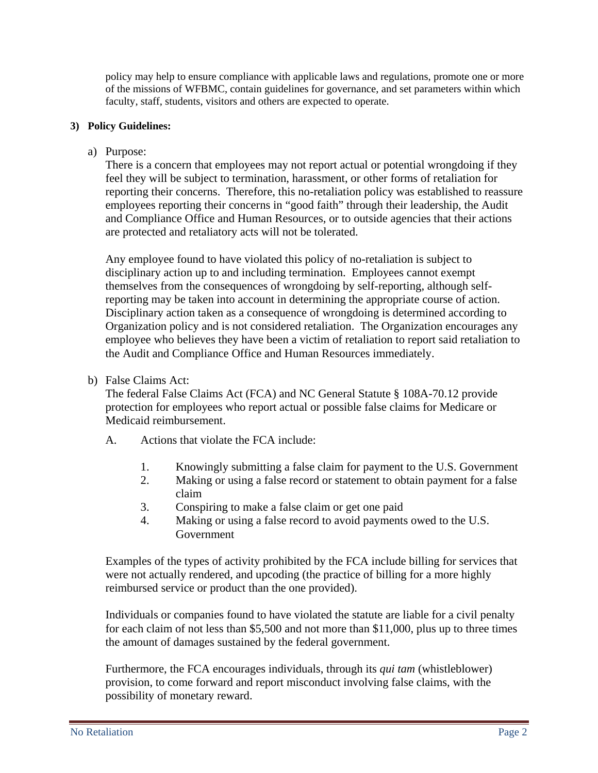policy may help to ensure compliance with applicable laws and regulations, promote one or more of the missions of WFBMC, contain guidelines for governance, and set parameters within which faculty, staff, students, visitors and others are expected to operate.

# **3) Policy Guidelines:**

a) Purpose:

There is a concern that employees may not report actual or potential wrongdoing if they feel they will be subject to termination, harassment, or other forms of retaliation for reporting their concerns. Therefore, this no-retaliation policy was established to reassure employees reporting their concerns in "good faith" through their leadership, the Audit and Compliance Office and Human Resources, or to outside agencies that their actions are protected and retaliatory acts will not be tolerated.

Any employee found to have violated this policy of no-retaliation is subject to disciplinary action up to and including termination. Employees cannot exempt themselves from the consequences of wrongdoing by self-reporting, although selfreporting may be taken into account in determining the appropriate course of action. Disciplinary action taken as a consequence of wrongdoing is determined according to Organization policy and is not considered retaliation. The Organization encourages any employee who believes they have been a victim of retaliation to report said retaliation to the Audit and Compliance Office and Human Resources immediately.

b) False Claims Act:

The federal False Claims Act (FCA) and NC General Statute § 108A-70.12 provide protection for employees who report actual or possible false claims for Medicare or Medicaid reimbursement.

- A. Actions that violate the FCA include:
	- 1. Knowingly submitting a false claim for payment to the U.S. Government
	- 2. Making or using a false record or statement to obtain payment for a false claim
	- 3. Conspiring to make a false claim or get one paid
	- 4. Making or using a false record to avoid payments owed to the U.S. Government

Examples of the types of activity prohibited by the FCA include billing for services that were not actually rendered, and upcoding (the practice of billing for a more highly reimbursed service or product than the one provided).

Individuals or companies found to have violated the statute are liable for a civil penalty for each claim of not less than \$5,500 and not more than \$11,000, plus up to three times the amount of damages sustained by the federal government.

Furthermore, the FCA encourages individuals, through its *qui tam* (whistleblower) provision, to come forward and report misconduct involving false claims, with the possibility of monetary reward.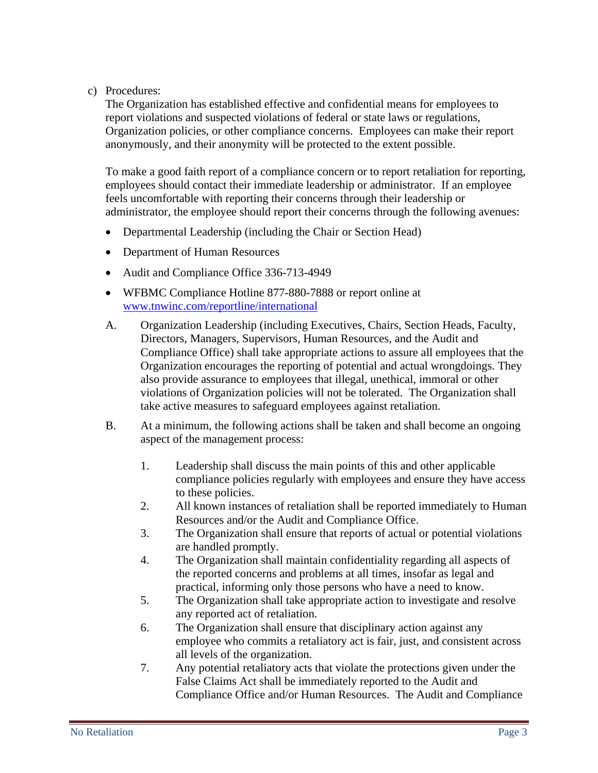# c) Procedures:

The Organization has established effective and confidential means for employees to report violations and suspected violations of federal or state laws or regulations, Organization policies, or other compliance concerns. Employees can make their report anonymously, and their anonymity will be protected to the extent possible.

To make a good faith report of a compliance concern or to report retaliation for reporting, employees should contact their immediate leadership or administrator. If an employee feels uncomfortable with reporting their concerns through their leadership or administrator, the employee should report their concerns through the following avenues:

- Departmental Leadership (including the Chair or Section Head)
- Department of Human Resources
- Audit and Compliance Office 336-713-4949
- WFBMC Compliance Hotline 877-880-7888 or report online at [www.tnwinc.com/reportline/international](http://www.tnwinc.com/reportline/international)
- A. Organization Leadership (including Executives, Chairs, Section Heads, Faculty, Directors, Managers, Supervisors, Human Resources, and the Audit and Compliance Office) shall take appropriate actions to assure all employees that the Organization encourages the reporting of potential and actual wrongdoings. They also provide assurance to employees that illegal, unethical, immoral or other violations of Organization policies will not be tolerated. The Organization shall take active measures to safeguard employees against retaliation.
- B. At a minimum, the following actions shall be taken and shall become an ongoing aspect of the management process:
	- 1. Leadership shall discuss the main points of this and other applicable compliance policies regularly with employees and ensure they have access to these policies.
	- 2. All known instances of retaliation shall be reported immediately to Human Resources and/or the Audit and Compliance Office.
	- 3. The Organization shall ensure that reports of actual or potential violations are handled promptly.
	- 4. The Organization shall maintain confidentiality regarding all aspects of the reported concerns and problems at all times, insofar as legal and practical, informing only those persons who have a need to know.
	- 5. The Organization shall take appropriate action to investigate and resolve any reported act of retaliation.
	- 6. The Organization shall ensure that disciplinary action against any employee who commits a retaliatory act is fair, just, and consistent across all levels of the organization.
	- 7. Any potential retaliatory acts that violate the protections given under the False Claims Act shall be immediately reported to the Audit and Compliance Office and/or Human Resources. The Audit and Compliance